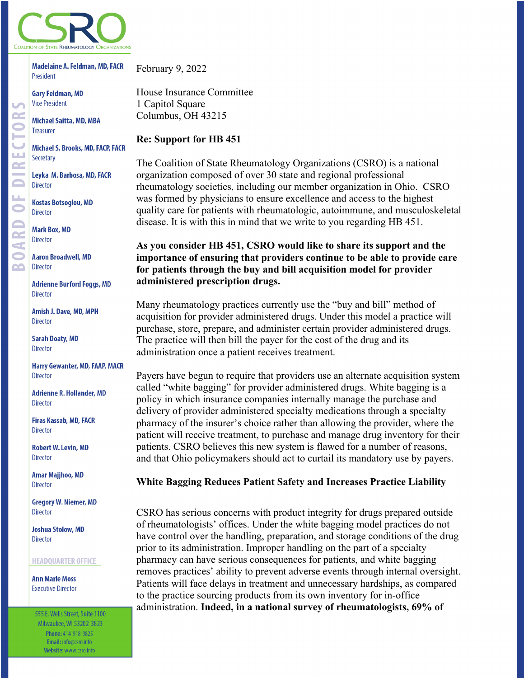

**Madelaine A. Feldman, MD, FACR** President

**Gary Feldman, MD Vice President** 

**Michael Saitta, MD, MBA Treasurer** 

Michael S. Brooks, MD, FACP, FACR Secretary

Leyka M. Barbosa, MD, FACR Director

**Kostas Botsoglou, MD Director** 

**Mark Box, MD Director** 

**Aaron Broadwell, MD Director** 

**Adrienne Burford Foggs, MD Director** 

Amish J. Dave, MD, MPH **Director** 

**Sarah Doaty, MD Director** 

**Harry Gewanter, MD, FAAP, MACR Director** 

**Adrienne R. Hollander, MD Director** 

Firas Kassab, MD, FACR **Director** 

**Robert W. Levin, MD** Director

**Amar Majjhoo, MD Director** 

**Gregory W. Niemer, MD Director** 

**Joshua Stolow, MD Director** 

#### **HEADQUARTER OFFICE**

**Ann Marie Moss Executive Director** 

555 E. Wells Street, Suite 1100 Milwaukee, WI 53202-3823 Phone: 414-918-9825 Email: info@csro.info Website: www.csro.info

February 9, 2022

House Insurance Committee 1 Capitol Square Columbus, OH 43215

## **Re: Support for HB 451**

The Coalition of State Rheumatology Organizations (CSRO) is a national organization composed of over 30 state and regional professional rheumatology societies, including our member organization in Ohio. CSRO was formed by physicians to ensure excellence and access to the highest quality care for patients with rheumatologic, autoimmune, and musculoskeletal disease. It is with this in mind that we write to you regarding HB 451.

# **As you consider HB 451, CSRO would like to share its support and the importance of ensuring that providers continue to be able to provide care for patients through the buy and bill acquisition model for provider administered prescription drugs.**

Many rheumatology practices currently use the "buy and bill" method of acquisition for provider administered drugs. Under this model a practice will purchase, store, prepare, and administer certain provider administered drugs. The practice will then bill the payer for the cost of the drug and its administration once a patient receives treatment.

Payers have begun to require that providers use an alternate acquisition system called "white bagging" for provider administered drugs. White bagging is a policy in which insurance companies internally manage the purchase and delivery of provider administered specialty medications through a specialty pharmacy of the insurer's choice rather than allowing the provider, where the patient will receive treatment, to purchase and manage drug inventory for their patients. CSRO believes this new system is flawed for a number of reasons, and that Ohio policymakers should act to curtail its mandatory use by payers.

## **White Bagging Reduces Patient Safety and Increases Practice Liability**

CSRO has serious concerns with product integrity for drugs prepared outside of rheumatologists' offices. Under the white bagging model practices do not have control over the handling, preparation, and storage conditions of the drug prior to its administration. Improper handling on the part of a specialty pharmacy can have serious consequences for patients, and white bagging removes practices' ability to prevent adverse events through internal oversight. Patients will face delays in treatment and unnecessary hardships, as compared to the practice sourcing products from its own inventory for in-office administration. **Indeed, in a national survey of rheumatologists, 69% of**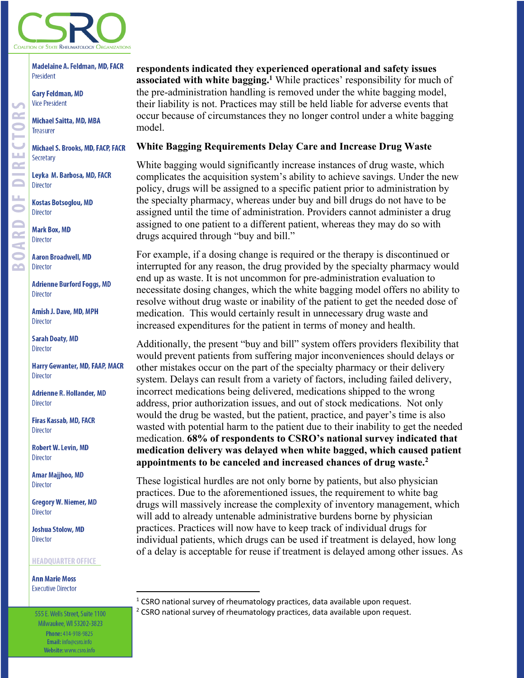

**Madelaine A. Feldman, MD, FACR** President

**Gary Feldman, MD Vice President** 

**Michael Saitta, MD, MBA Treasurer** 

**Michael S. Brooks, MD, FACP, FACR** Secretary

Leyka M. Barbosa, MD, FACR Director

**Kostas Botsoglou, MD Director** 

**Mark Box, MD Director** 

**Aaron Broadwell, MD Director** 

**Adrienne Burford Foggs, MD Director** 

Amish J. Dave, MD, MPH **Director** 

**Sarah Doaty, MD Director** 

**Harry Gewanter, MD, FAAP, MACR Director** 

**Adrienne R. Hollander, MD Director** 

Firas Kassab, MD, FACR **Director** 

**Robert W. Levin, MD** Director

**Amar Majjhoo, MD Director** 

**Gregory W. Niemer, MD** Director

**Joshua Stolow, MD Director** 

#### **HEADQUARTER OFFICE**

**Ann Marie Moss Executive Director** 

555 E. Wells Street, Suite 1100 Milwaukee, WI 53202-3823 Phone: 414-918-9825 Email: info@csro.info Website: www.csro.info

# **respondents indicated they experienced operational and safety issues associated with white bagging.1** While practices' responsibility for much of the pre-administration handling is removed under the white bagging model, their liability is not. Practices may still be held liable for adverse events that occur because of circumstances they no longer control under a white bagging model.

### **White Bagging Requirements Delay Care and Increase Drug Waste**

White bagging would significantly increase instances of drug waste, which complicates the acquisition system's ability to achieve savings. Under the new policy, drugs will be assigned to a specific patient prior to administration by the specialty pharmacy, whereas under buy and bill drugs do not have to be assigned until the time of administration. Providers cannot administer a drug assigned to one patient to a different patient, whereas they may do so with drugs acquired through "buy and bill."

For example, if a dosing change is required or the therapy is discontinued or interrupted for any reason, the drug provided by the specialty pharmacy would end up as waste. It is not uncommon for pre-administration evaluation to necessitate dosing changes, which the white bagging model offers no ability to resolve without drug waste or inability of the patient to get the needed dose of medication. This would certainly result in unnecessary drug waste and increased expenditures for the patient in terms of money and health.

Additionally, the present "buy and bill" system offers providers flexibility that would prevent patients from suffering major inconveniences should delays or other mistakes occur on the part of the specialty pharmacy or their delivery system. Delays can result from a variety of factors, including failed delivery, incorrect medications being delivered, medications shipped to the wrong address, prior authorization issues, and out of stock medications. Not only would the drug be wasted, but the patient, practice, and payer's time is also wasted with potential harm to the patient due to their inability to get the needed medication. **68% of respondents to CSRO's national survey indicated that medication delivery was delayed when white bagged, which caused patient appointments to be canceled and increased chances of drug waste.2**

These logistical hurdles are not only borne by patients, but also physician practices. Due to the aforementioned issues, the requirement to white bag drugs will massively increase the complexity of inventory management, which will add to already untenable administrative burdens borne by physician practices. Practices will now have to keep track of individual drugs for individual patients, which drugs can be used if treatment is delayed, how long of a delay is acceptable for reuse if treatment is delayed among other issues. As

<sup>1</sup> CSRO national survey of rheumatology practices, data available upon request.<br><sup>2</sup> CSRO national survey of rheumatology practices, data available upon request.